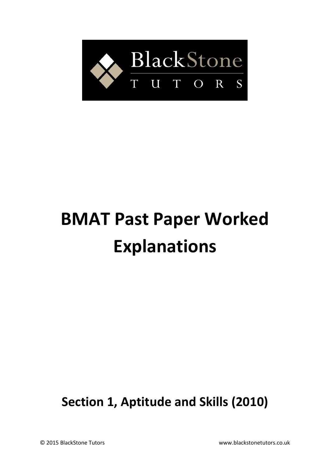

# **BMAT Past Paper Worked Explanations**

**Section 1, Aptitude and Skills (2010)**

© 2015 BlackStone Tutors www.blackstonetutors.co.uk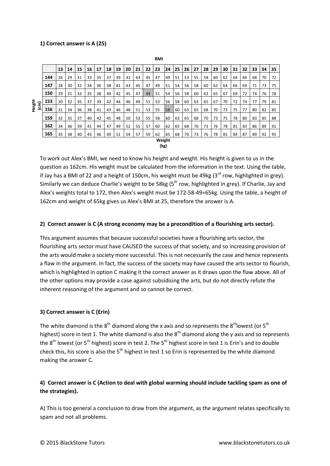## **1) Correct answer is A (25)**

|                                | <b>BMI</b> |    |    |    |    |    |    |    |    |    |    |    |    |    |    |    |    |    |    |    |    |    |    |    |
|--------------------------------|------------|----|----|----|----|----|----|----|----|----|----|----|----|----|----|----|----|----|----|----|----|----|----|----|
|                                |            | 13 | 14 | 15 | 16 | 17 | 18 | 19 | 20 | 21 | 22 | 23 | 24 | 25 | 26 | 27 | 28 | 29 | 30 | 31 | 32 | 33 | 34 | 35 |
| Height<br>$\widehat{\epsilon}$ | 144        | 26 | 29 | 31 | 33 | 35 | 37 | 39 | 41 | 43 | 45 | 47 | 49 | 51 | 53 | 55 | 58 | 60 | 62 | 64 | 66 | 68 | 70 | 72 |
|                                | 147        | 28 | 30 | 32 | 34 | 36 | 38 | 41 | 43 | 45 | 47 | 49 | 51 | 54 | 56 | 58 | 60 | 62 | 64 | 66 | 69 | 71 | 73 | 75 |
|                                | 150        | 29 | 31 | 33 | 35 | 38 | 40 | 42 | 45 | 47 | 49 | 51 | 54 | 56 | 58 | 60 | 63 | 65 | 67 | 69 | 72 | 74 | 76 | 78 |
|                                | 153        | 30 | 32 | 35 | 37 | 39 | 42 | 44 | 46 | 49 | 51 | 53 | 56 | 58 | 60 | 63 | 65 | 67 | 70 | 72 | 74 | 77 | 79 | 81 |
|                                | 156        | 31 | 34 | 36 | 38 | 41 | 43 | 46 | 48 | 51 | 53 | 55 | 58 | 60 | 63 | 65 | 68 | 70 | 73 | 75 | 77 | 80 | 82 | 85 |
|                                | 159        | 32 | 35 | 37 | 40 | 42 | 45 | 48 | 50 | 53 | 55 | 58 | 60 | 63 | 65 | 68 | 70 | 73 | 75 | 78 | 80 | 83 | 85 | 88 |
|                                | 162        | 34 | 36 | 39 | 41 | 44 | 47 | 49 | 52 | 55 | 57 | 60 | 62 | 65 | 68 | 70 | 73 | 76 | 78 | 81 | 83 | 86 | 89 | 91 |
|                                | 165        | 35 | 38 | 40 | 43 | 46 | 49 | 51 | 54 | 57 | 59 | 62 | 65 | 68 | 70 | 73 | 76 | 78 | 81 | 84 | 87 | 89 | 92 | 95 |
| Weight                         |            |    |    |    |    |    |    |    |    |    |    |    |    |    |    |    |    |    |    |    |    |    |    |    |
| (kg)                           |            |    |    |    |    |    |    |    |    |    |    |    |    |    |    |    |    |    |    |    |    |    |    |    |

To work out Alex's BMI, we need to know his height and weight. His height is given to us in the question as 162cm. His weight must be calculated from the information in the text. Using the table, if Jay has a BMI of 22 and a height of 150cm, his weight must be 49kg ( $3<sup>rd</sup>$  row, highlighted in grey). Similarly we can deduce Charlie's weight to be 58kg ( $5<sup>th</sup>$  row, highlighted in grey). If Charlie, Jay and Alex's weights total to 172, then Alex's weight must be 172-58-49=65kg. Using the table, a height of 162cm and weight of 65kg gives us Alex's BMI at 25, therefore the answer is A.

#### **2) Correct answer is C (A strong economy may be a precondition of a flourishing arts sector).**

This argument assumes that because successful societies have a flourishing arts sector, the flourishing arts sector must have CAUSED the success of that society, and so increasing provision of the arts would make a society more successful. This is not necessarily the case and hence represents a flaw in the argument. In fact, the success of the society may have caused the arts sector to flourish, which is highlighted in option C making it the correct answer as it draws upon the flaw above. All of the other options may provide a case against subsidising the arts, but do not directly refute the inherent reasoning of the argument and so cannot be correct.

#### **3) Correct answer is C (Erin)**

The white diamond is the  $8<sup>th</sup>$  diamond along the x axis and so represents the  $8<sup>th</sup>$ lowest (or  $5<sup>th</sup>$ highest) score in test 1. The white diamond is also the  $8<sup>th</sup>$  diamond along the y axis and so represents the  $8<sup>th</sup>$  lowest (or  $5<sup>th</sup>$  highest) score in test 2. The  $5<sup>th</sup>$  highest score in test 1 is Erin's and to double check this, his score is also the  $5<sup>th</sup>$  highest in test 1 so Erin is represented by the white diamond making the answer C.

# **4) Correct answer is C (Action to deal with global warming should include tackling spam as one of the strategies).**

A) This is too general a conclusion to draw from the argument, as the argument relates specifically to spam and not all problems.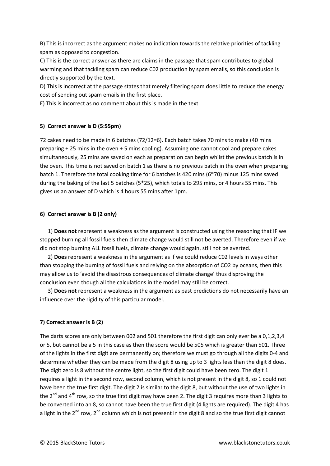B) This is incorrect as the argument makes no indication towards the relative priorities of tackling spam as opposed to congestion.

C) This is the correct answer as there are claims in the passage that spam contributes to global warming and that tackling spam can reduce C02 production by spam emails, so this conclusion is directly supported by the text.

D) This is incorrect at the passage states that merely filtering spam does little to reduce the energy cost of sending out spam emails in the first place.

E) This is incorrect as no comment about this is made in the text.

## **5) Correct answer is D (5:55pm)**

72 cakes need to be made in 6 batches (72/12=6). Each batch takes 70 mins to make (40 mins preparing + 25 mins in the oven + 5 mins cooling). Assuming one cannot cool and prepare cakes simultaneously, 25 mins are saved on each as preparation can begin whilst the previous batch is in the oven. This time is not saved on batch 1 as there is no previous batch in the oven when preparing batch 1. Therefore the total cooking time for 6 batches is 420 mins (6\*70) minus 125 mins saved during the baking of the last 5 batches (5\*25), which totals to 295 mins, or 4 hours 55 mins. This gives us an answer of D which is 4 hours 55 mins after 1pm.

## **6) Correct answer is B (2 only)**

1) **Does not** represent a weakness as the argument is constructed using the reasoning that IF we stopped burning all fossil fuels then climate change would still not be averted. Therefore even if we did not stop burning ALL fossil fuels, climate change would again, still not be averted.

2) **Does** represent a weakness in the argument as if we could reduce C02 levels in ways other than stopping the burning of fossil fuels and relying on the absorption of CO2 by oceans, then this may allow us to 'avoid the disastrous consequences of climate change' thus disproving the conclusion even though all the calculations in the model may still be correct.

3) **Does not** represent a weakness in the argument as past predictions do not necessarily have an influence over the rigidity of this particular model.

# **7) Correct answer is B (2)**

The darts scores are only between 002 and 501 therefore the first digit can only ever be a 0,1,2,3,4 or 5, but cannot be a 5 in this case as then the score would be 505 which is greater than 501. Three of the lights in the first digit are permanently on; therefore we must go through all the digits 0-4 and determine whether they can be made from the digit 8 using up to 3 lights less than the digit 8 does. The digit zero is 8 without the centre light, so the first digit could have been zero. The digit 1 requires a light in the second row, second column, which is not present in the digit 8, so 1 could not have been the true first digit. The digit 2 is similar to the digit 8, but without the use of two lights in the  $2^{nd}$  and  $4^{th}$  row, so the true first digit may have been 2. The digit 3 requires more than 3 lights to be converted into an 8, so cannot have been the true first digit (4 lights are required). The digit 4 has a light in the  $2^{nd}$  row,  $2^{nd}$  column which is not present in the digit 8 and so the true first digit cannot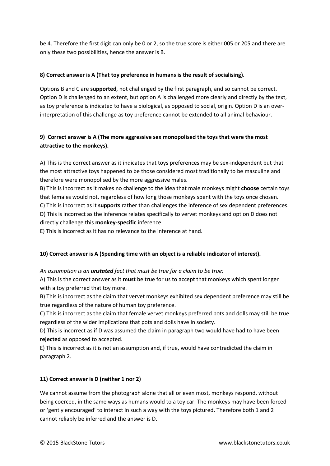be 4. Therefore the first digit can only be 0 or 2, so the true score is either 005 or 205 and there are only these two possibilities, hence the answer is B.

# **8) Correct answer is A (That toy preference in humans is the result of socialising).**

Options B and C are **supported**, not challenged by the first paragraph, and so cannot be correct. Option D is challenged to an extent, but option A is challenged more clearly and directly by the text, as toy preference is indicated to have a biological, as opposed to social, origin. Option D is an overinterpretation of this challenge as toy preference cannot be extended to all animal behaviour.

# **9) Correct answer is A (The more aggressive sex monopolised the toys that were the most attractive to the monkeys).**

A) This is the correct answer as it indicates that toys preferences may be sex-independent but that the most attractive toys happened to be those considered most traditionally to be masculine and therefore were monopolised by the more aggressive males.

B) This is incorrect as it makes no challenge to the idea that male monkeys might **choose** certain toys that females would not, regardless of how long those monkeys spent with the toys once chosen. C) This is incorrect as it **supports** rather than challenges the inference of sex dependent preferences. D) This is incorrect as the inference relates specifically to vervet monkeys and option D does not directly challenge this **monkey-specific** inference.

E) This is incorrect as it has no relevance to the inference at hand.

# **10) Correct answer is A (Spending time with an object is a reliable indicator of interest).**

# *An assumption is an unstated fact that must be true for a claim to be true:*

A) This is the correct answer as it **must** be true for us to accept that monkeys which spent longer with a toy preferred that toy more.

B) This is incorrect as the claim that vervet monkeys exhibited sex dependent preference may still be true regardless of the nature of human toy preference.

C) This is incorrect as the claim that female vervet monkeys preferred pots and dolls may still be true regardless of the wider implications that pots and dolls have in society.

D) This is incorrect as if D was assumed the claim in paragraph two would have had to have been **rejected** as opposed to accepted.

E) This is incorrect as it is not an assumption and, if true, would have contradicted the claim in paragraph 2.

# **11) Correct answer is D (neither 1 nor 2)**

We cannot assume from the photograph alone that all or even most, monkeys respond, without being coerced, in the same ways as humans would to a toy car. The monkeys may have been forced or 'gently encouraged' to interact in such a way with the toys pictured. Therefore both 1 and 2 cannot reliably be inferred and the answer is D.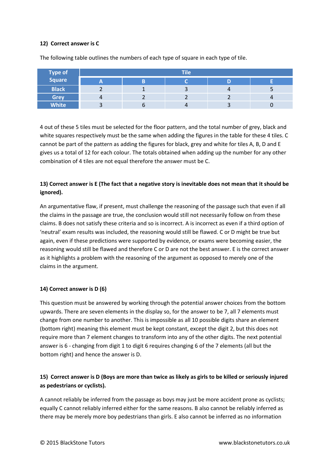#### **12) Correct answer is C**

| <b>Type of</b> | <b>Tile</b>              |  |    |       |   |  |  |  |  |  |  |  |
|----------------|--------------------------|--|----|-------|---|--|--|--|--|--|--|--|
| Square         | $\overline{\phantom{a}}$ |  |    |       |   |  |  |  |  |  |  |  |
| <b>Black</b>   |                          |  |    | $\mu$ |   |  |  |  |  |  |  |  |
| <b>Grey</b>    | 4                        |  |    |       | 4 |  |  |  |  |  |  |  |
| <b>White</b>   |                          |  | 71 |       |   |  |  |  |  |  |  |  |

The following table outlines the numbers of each type of square in each type of tile.

4 out of these 5 tiles must be selected for the floor pattern, and the total number of grey, black and white squares respectively must be the same when adding the figures in the table for these 4 tiles. C cannot be part of the pattern as adding the figures for black, grey and white for tiles A, B, D and E gives us a total of 12 for each colour. The totals obtained when adding up the number for any other combination of 4 tiles are not equal therefore the answer must be C.

# **13) Correct answer is E (The fact that a negative story is inevitable does not mean that it should be ignored).**

An argumentative flaw, if present, must challenge the reasoning of the passage such that even if all the claims in the passage are true, the conclusion would still not necessarily follow on from these claims. B does not satisfy these criteria and so is incorrect. A is incorrect as even if a third option of 'neutral' exam results was included, the reasoning would still be flawed. C or D might be true but again, even if these predictions were supported by evidence, or exams were becoming easier, the reasoning would still be flawed and therefore C or D are not the best answer. E is the correct answer as it highlights a problem with the reasoning of the argument as opposed to merely one of the claims in the argument.

# **14) Correct answer is D (6)**

This question must be answered by working through the potential answer choices from the bottom upwards. There are seven elements in the display so, for the answer to be 7, all 7 elements must change from one number to another. This is impossible as all 10 possible digits share an element (bottom right) meaning this element must be kept constant, except the digit 2, but this does not require more than 7 element changes to transform into any of the other digits. The next potential answer is 6 - changing from digit 1 to digit 6 requires changing 6 of the 7 elements (all but the bottom right) and hence the answer is D.

# **15) Correct answer is D (Boys are more than twice as likely as girls to be killed or seriously injured as pedestrians or cyclists).**

A cannot reliably be inferred from the passage as boys may just be more accident prone as cyclists; equally C cannot reliably inferred either for the same reasons. B also cannot be reliably inferred as there may be merely more boy pedestrians than girls. E also cannot be inferred as no information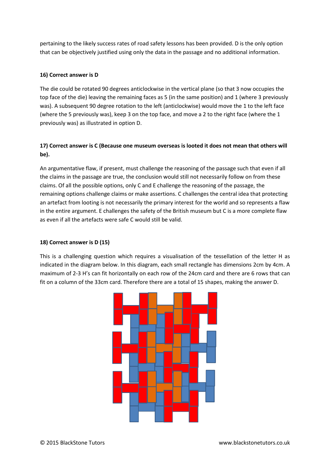pertaining to the likely success rates of road safety lessons has been provided. D is the only option that can be objectively justified using only the data in the passage and no additional information.

## **16) Correct answer is D**

The die could be rotated 90 degrees anticlockwise in the vertical plane (so that 3 now occupies the top face of the die) leaving the remaining faces as 5 (in the same position) and 1 (where 3 previously was). A subsequent 90 degree rotation to the left (anticlockwise) would move the 1 to the left face (where the 5 previously was), keep 3 on the top face, and move a 2 to the right face (where the 1 previously was) as illustrated in option D.

# **17) Correct answer is C (Because one museum overseas is looted it does not mean that others will be).**

An argumentative flaw, if present, must challenge the reasoning of the passage such that even if all the claims in the passage are true, the conclusion would still not necessarily follow on from these claims. Of all the possible options, only C and E challenge the reasoning of the passage, the remaining options challenge claims or make assertions. C challenges the central idea that protecting an artefact from looting is not necessarily the primary interest for the world and so represents a flaw in the entire argument. E challenges the safety of the British museum but C is a more complete flaw as even if all the artefacts were safe C would still be valid.

# **18) Correct answer is D (15)**

This is a challenging question which requires a visualisation of the tessellation of the letter H as indicated in the diagram below. In this diagram, each small rectangle has dimensions 2cm by 4cm. A maximum of 2-3 H's can fit horizontally on each row of the 24cm card and there are 6 rows that can fit on a column of the 33cm card. Therefore there are a total of 15 shapes, making the answer D.

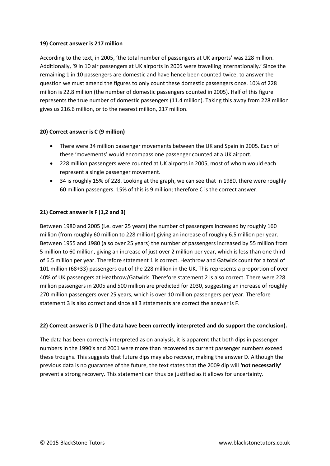#### **19) Correct answer is 217 million**

According to the text, in 2005, 'the total number of passengers at UK airports' was 228 million. Additionally, '9 in 10 air passengers at UK airports in 2005 were travelling internationally.' Since the remaining 1 in 10 passengers are domestic and have hence been counted twice, to answer the question we must amend the figures to only count these domestic passengers once. 10% of 228 million is 22.8 million (the number of domestic passengers counted in 2005). Half of this figure represents the true number of domestic passengers (11.4 million). Taking this away from 228 million gives us 216.6 million, or to the nearest million, 217 million.

# **20) Correct answer is C (9 million)**

- There were 34 million passenger movements between the UK and Spain in 2005. Each of these 'movements' would encompass one passenger counted at a UK airport.
- 228 million passengers were counted at UK airports in 2005, most of whom would each represent a single passenger movement.
- 34 is roughly 15% of 228. Looking at the graph, we can see that in 1980, there were roughly 60 million passengers. 15% of this is 9 million; therefore C is the correct answer.

# **21) Correct answer is F (1,2 and 3)**

Between 1980 and 2005 (i.e. over 25 years) the number of passengers increased by roughly 160 million (from roughly 60 million to 228 million) giving an increase of roughly 6.5 million per year. Between 1955 and 1980 (also over 25 years) the number of passengers increased by 55 million from 5 million to 60 million, giving an increase of just over 2 million per year, which is less than one third of 6.5 million per year. Therefore statement 1 is correct. Heathrow and Gatwick count for a total of 101 million (68+33) passengers out of the 228 million in the UK. This represents a proportion of over 40% of UK passengers at Heathrow/Gatwick. Therefore statement 2 is also correct. There were 228 million passengers in 2005 and 500 million are predicted for 2030, suggesting an increase of roughly 270 million passengers over 25 years, which is over 10 million passengers per year. Therefore statement 3 is also correct and since all 3 statements are correct the answer is F.

# **22) Correct answer is D (The data have been correctly interpreted and do support the conclusion).**

The data has been correctly interpreted as on analysis, it is apparent that both dips in passenger numbers in the 1990's and 2001 were more than recovered as current passenger numbers exceed these troughs. This suggests that future dips may also recover, making the answer D. Although the previous data is no guarantee of the future, the text states that the 2009 dip will **'not necessarily'** prevent a strong recovery. This statement can thus be justified as it allows for uncertainty.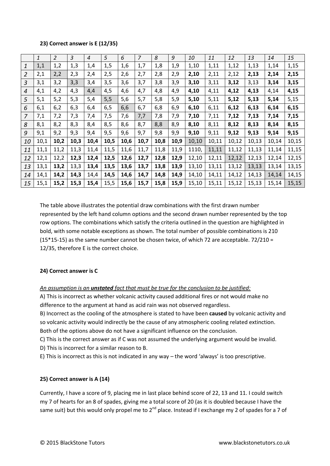#### **23) Correct answer is E (12/35)**

|                | $\mathbf{1}$ | $\overline{2}$ | $\mathfrak{Z}$ | $\overline{4}$ | 5    | 6    | $\overline{z}$ | 8    | 9    | 10    | 11    | 12    | 13    | 14    | 15    |
|----------------|--------------|----------------|----------------|----------------|------|------|----------------|------|------|-------|-------|-------|-------|-------|-------|
| 1              | 1,1          | 1,2            | 1,3            | 1,4            | 1,5  | 1,6  | 1,7            | 1,8  | 1,9  | 1,10  | 1,11  | 1,12  | 1,13  | 1,14  | 1,15  |
| 2              | 2,1          | 2,2            | 2,3            | 2,4            | 2,5  | 2,6  | 2,7            | 2,8  | 2,9  | 2,10  | 2,11  | 2,12  | 2,13  | 2,14  | 2,15  |
| 3              | 3,1          | 3,2            | 3,3            | 3,4            | 3,5  | 3,6  | 3,7            | 3,8  | 3,9  | 3,10  | 3,11  | 3,12  | 3,13  | 3,14  | 3,15  |
| $\overline{4}$ | 4,1          | 4,2            | 4,3            | 4,4            | 4,5  | 4,6  | 4,7            | 4,8  | 4,9  | 4,10  | 4,11  | 4,12  | 4,13  | 4,14  | 4,15  |
| 5              | 5,1          | 5,2            | 5,3            | 5,4            | 5,5  | 5,6  | 5,7            | 5,8  | 5,9  | 5,10  | 5,11  | 5,12  | 5,13  | 5,14  | 5,15  |
| 6              | 6,1          | 6,2            | 6,3            | 6,4            | 6,5  | 6,6  | 6,7            | 6,8  | 6,9  | 6,10  | 6,11  | 6,12  | 6,13  | 6,14  | 6,15  |
| 7              | 7,1          | 7,2            | 7,3            | 7,4            | 7,5  | 7,6  | 7,7            | 7,8  | 7,9  | 7,10  | 7,11  | 7,12  | 7,13  | 7,14  | 7,15  |
| 8              | 8,1          | 8,2            | 8,3            | 8,4            | 8,5  | 8,6  | 8,7            | 8,8  | 8,9  | 8,10  | 8,11  | 8,12  | 8,13  | 8,14  | 8,15  |
| 9              | 9,1          | 9,2            | 9,3            | 9,4            | 9,5  | 9,6  | 9,7            | 9,8  | 9,9  | 9,10  | 9,11  | 9,12  | 9,13  | 9,14  | 9,15  |
| 10             | 10,1         | 10,2           | 10,3           | 10,4           | 10,5 | 10,6 | 10,7           | 10,8 | 10,9 | 10,10 | 10,11 | 10,12 | 10,13 | 10,14 | 10,15 |
| 11             | 11,1         | 11,2           | 11,3           | 11,4           | 11,5 | 11,6 | 11,7           | 11,8 | 11,9 | 1110, | 11,11 | 11,12 | 11,13 | 11,14 | 11,15 |
| 12             | 12,1         | 12,2           | 12,3           | 12,4           | 12,5 | 12,6 | 12,7           | 12,8 | 12,9 | 12,10 | 12,11 | 12,12 | 12,13 | 12,14 | 12,15 |
| 13             | 13,1         | 13,2           | 13,3           | 13,4           | 13,5 | 13,6 | 13,7           | 13,8 | 13,9 | 13,10 | 13,11 | 13,12 | 13,13 | 13,14 | 13,15 |
| 14             | 14,1         | 14,2           | 14,3           | 14,4           | 14,5 | 14,6 | 14,7           | 14,8 | 14,9 | 14,10 | 14,11 | 14,12 | 14,13 | 14,14 | 14,15 |
| 15             | 15,1         | 15,2           | 15,3           | 15,4           | 15,5 | 15,6 | 15,7           | 15,8 | 15,9 | 15,10 | 15,11 | 15,12 | 15,13 | 15,14 | 15,15 |

The table above illustrates the potential draw combinations with the first drawn number represented by the left hand column options and the second drawn number represented by the top row options. The combinations which satisfy the criteria outlined in the question are highlighted in bold, with some notable exceptions as shown. The total number of possible combinations is 210 (15\*15-15) as the same number cannot be chosen twice, of which 72 are acceptable. 72/210 = 12/35, therefore E is the correct choice.

# **24) Correct answer is C**

*An assumption is an unstated fact that must be true for the conclusion to be justified:*

A) This is incorrect as whether volcanic activity caused additional fires or not would make no difference to the argument at hand as acid rain was not observed regardless.

B) Incorrect as the cooling of the atmosphere is stated to have been **caused** by volcanic activity and so volcanic activity would indirectly be the cause of any atmospheric cooling related extinction. Both of the options above do not have a significant influence on the conclusion.

C) This is the correct answer as if C was not assumed the underlying argument would be invalid.

D) This is incorrect for a similar reason to B.

E) This is incorrect as this is not indicated in any way – the word 'always' is too prescriptive.

# **25) Correct answer is A (14)**

Currently, I have a score of 9, placing me in last place behind score of 22, 13 and 11. I could switch my 7 of hearts for an 8 of spades, giving me a total score of 20 (as it is doubled because I have the same suit) but this would only propel me to  $2^{nd}$  place. Instead if I exchange my 2 of spades for a 7 of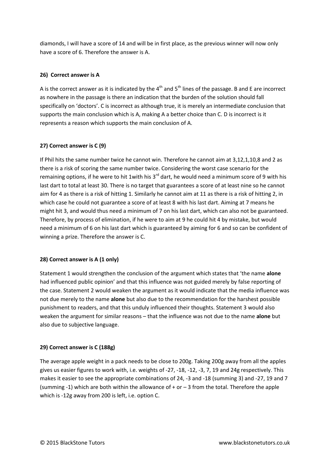diamonds, I will have a score of 14 and will be in first place, as the previous winner will now only have a score of 6. Therefore the answer is A.

## **26) Correct answer is A**

A is the correct answer as it is indicated by the  $4<sup>th</sup>$  and  $5<sup>th</sup>$  lines of the passage. B and E are incorrect as nowhere in the passage is there an indication that the burden of the solution should fall specifically on 'doctors'. C is incorrect as although true, it is merely an intermediate conclusion that supports the main conclusion which is A, making A a better choice than C. D is incorrect is it represents a reason which supports the main conclusion of A.

# **27) Correct answer is C (9)**

If Phil hits the same number twice he cannot win. Therefore he cannot aim at 3,12,1,10,8 and 2 as there is a risk of scoring the same number twice. Considering the worst case scenario for the remaining options, if he were to hit 1 with his  $3<sup>rd</sup>$  dart, he would need a minimum score of 9 with his last dart to total at least 30. There is no target that guarantees a score of at least nine so he cannot aim for 4 as there is a risk of hitting 1. Similarly he cannot aim at 11 as there is a risk of hitting 2, in which case he could not guarantee a score of at least 8 with his last dart. Aiming at 7 means he might hit 3, and would thus need a minimum of 7 on his last dart, which can also not be guaranteed. Therefore, by process of elimination, if he were to aim at 9 he could hit 4 by mistake, but would need a minimum of 6 on his last dart which is guaranteed by aiming for 6 and so can be confident of winning a prize. Therefore the answer is C.

#### **28) Correct answer is A (1 only)**

Statement 1 would strengthen the conclusion of the argument which states that 'the name **alone** had influenced public opinion' and that this influence was not guided merely by false reporting of the case. Statement 2 would weaken the argument as it would indicate that the media influence was not due merely to the name **alone** but also due to the recommendation for the harshest possible punishment to readers, and that this unduly influenced their thoughts. Statement 3 would also weaken the argument for similar reasons – that the influence was not due to the name **alone** but also due to subjective language.

#### **29) Correct answer is C (188g)**

The average apple weight in a pack needs to be close to 200g. Taking 200g away from all the apples gives us easier figures to work with, i.e. weights of -27, -18, -12, -3, 7, 19 and 24g respectively. This makes it easier to see the appropriate combinations of 24, -3 and -18 (summing 3) and -27, 19 and 7 (summing -1) which are both within the allowance of  $+$  or  $-$  3 from the total. Therefore the apple which is -12g away from 200 is left, i.e. option C.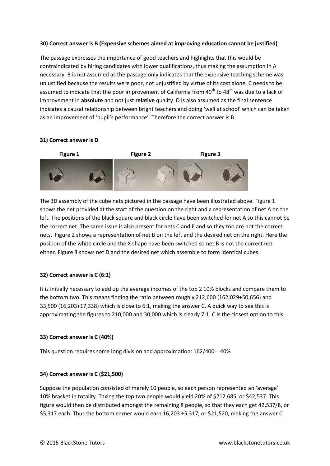## **30) Correct answer is B (Expensive schemes aimed at improving education cannot be justified)**

The passage expresses the importance of good teachers and highlights that this would be contraindicated by hiring candidates with lower qualifications, thus making the assumption in A necessary. B is not assumed as the passage only indicates that the expensive teaching scheme was unjustified because the results were poor, not unjustified by virtue of its cost alone. C needs to be assumed to indicate that the poor improvement of California from 49<sup>th</sup> to 48<sup>th</sup> was due to a lack of improvement in **absolute** and not just **relative** quality. D is also assumed as the final sentence indicates a causal relationship between bright teachers and doing 'well at school' which can be taken as an improvement of 'pupil's performance'. Therefore the correct answer is B.



#### **31) Correct answer is D**

The 3D assembly of the cube nets pictured in the passage have been illustrated above. Figure 1 shows the net provided at the start of the question on the right and a representation of net A on the left. The positions of the black square and black circle have been switched for net A so this cannot be the correct net. The same issue is also present for nets C and E and so they too are not the correct nets. Figure 2 shows a representation of net B on the left and the desired net on the right. Here the position of the white circle and the X shape have been switched so net B is not the correct net either. Figure 3 shows net D and the desired net which assemble to form identical cubes.

# **32) Correct answer is C (6:1)**

It is initially necessary to add up the average incomes of the top 2 10% blocks and compare them to the bottom two. This means finding the ratio between roughly 212,600 (162,029+50,656) and 33,500 (16,203+17,338) which is close to 6:1, making the answer C. A quick way to see this is approximating the figures to 210,000 and 30,000 which is clearly 7:1. C is the closest option to this.

#### **33) Correct answer is C (40%)**

This question requires some long division and approximation: 162/400 = 40%

#### **34) Correct answer is C (\$21,500)**

Suppose the population consisted of merely 10 people, so each person represented an 'average' 10% bracket in totality. Taxing the top two people would yield 20% of \$212,685, or \$42,537. This figure would then be distributed amongst the remaining 8 people, so that they each get 42,537/8, or \$5,317 each. Thus the bottom earner would earn 16,203 +5,317, or \$21,520, making the answer C.